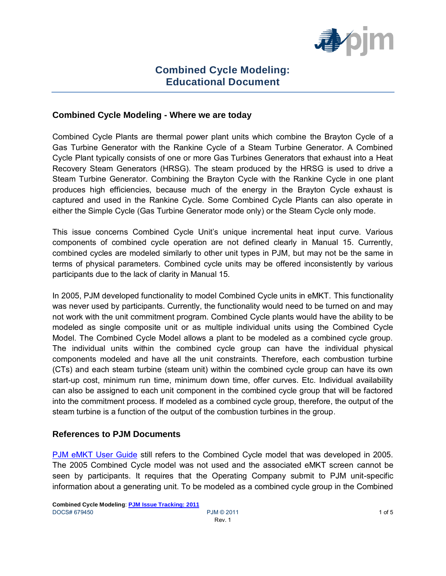

# **Combined Cycle Modeling: Educational Document**

#### **Combined Cycle Modeling - Where we are today**

Combined Cycle Plants are thermal power plant units which combine the Brayton Cycle of a Gas Turbine Generator with the Rankine Cycle of a Steam Turbine Generator. A Combined Cycle Plant typically consists of one or more Gas Turbines Generators that exhaust into a Heat Recovery Steam Generators (HRSG). The steam produced by the HRSG is used to drive a Steam Turbine Generator. Combining the Brayton Cycle with the Rankine Cycle in one plant produces high efficiencies, because much of the energy in the Brayton Cycle exhaust is captured and used in the Rankine Cycle. Some Combined Cycle Plants can also operate in either the Simple Cycle (Gas Turbine Generator mode only) or the Steam Cycle only mode.

This issue concerns Combined Cycle Unit's unique incremental heat input curve. Various components of combined cycle operation are not defined clearly in Manual 15. Currently, combined cycles are modeled similarly to other unit types in PJM, but may not be the same in terms of physical parameters. Combined cycle units may be offered inconsistently by various participants due to the lack of clarity in Manual 15.

In 2005, PJM developed functionality to model Combined Cycle units in eMKT. This functionality was never used by participants. Currently, the functionality would need to be turned on and may not work with the unit commitment program. Combined Cycle plants would have the ability to be modeled as single composite unit or as multiple individual units using the Combined Cycle Model. The Combined Cycle Model allows a plant to be modeled as a combined cycle group. The individual units within the combined cycle group can have the individual physical components modeled and have all the unit constraints. Therefore, each combustion turbine (CTs) and each steam turbine (steam unit) within the combined cycle group can have its own start-up cost, minimum run time, minimum down time, offer curves. Etc. Individual availability can also be assigned to each unit component in the combined cycle group that will be factored into the commitment process. If modeled as a combined cycle group, therefore, the output of the steam turbine is a function of the output of the combustion turbines in the group.

#### **References to PJM Documents**

[PJM eMKT User Guide](http://www.pjm.com/markets-and-operations/etools/~/media/etools/emkt/ts-userguide.ashx) still refers to the Combined Cycle model that was developed in 2005. The 2005 Combined Cycle model was not used and the associated eMKT screen cannot be seen by participants. It requires that the Operating Company submit to PJM unit-specific information about a generating unit. To be modeled as a combined cycle group in the Combined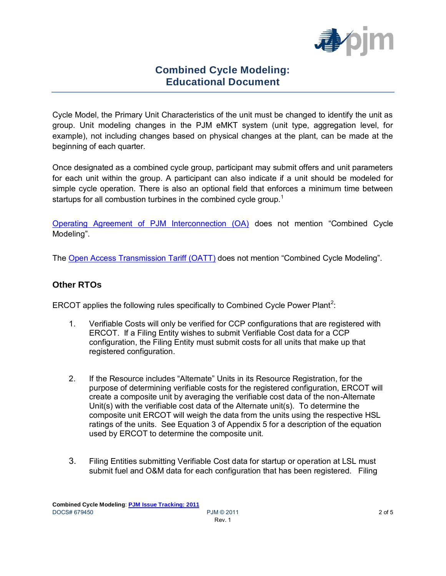

# **Combined Cycle Modeling: Educational Document**

Cycle Model, the Primary Unit Characteristics of the unit must be changed to identify the unit as group. Unit modeling changes in the PJM eMKT system (unit type, aggregation level, for example), not including changes based on physical changes at the plant, can be made at the beginning of each quarter.

Once designated as a combined cycle group, participant may submit offers and unit parameters for each unit within the group. A participant can also indicate if a unit should be modeled for simple cycle operation. There is also an optional field that enforces a minimum time between startups for all combustion turbines in the combined cycle group.<sup>1</sup>

[Operating Agreement of PJM Interconnection \(OA\)](http://www.pjm.com/documents/~/media/documents/agreements/oa-614.ashx) does not mention "Combined Cycle Modeling".

The [Open Access Transmission Tariff \(OATT\)](http://pjm.com/documents/~/media/documents/agreements/tariff-614.ashx) does not mention "Combined Cycle Modeling".

### **Other RTOs**

ERCOT applies the following rules specifically to Combined Cycle Power Plant<sup>2</sup>:

- 1. Verifiable Costs will only be verified for CCP configurations that are registered with ERCOT. If a Filing Entity wishes to submit Verifiable Cost data for a CCP configuration, the Filing Entity must submit costs for all units that make up that registered configuration.
- 2. If the Resource includes "Alternate" Units in its Resource Registration, for the purpose of determining verifiable costs for the registered configuration, ERCOT will create a composite unit by averaging the verifiable cost data of the non-Alternate Unit(s) with the verifiable cost data of the Alternate unit(s). To determine the composite unit ERCOT will weigh the data from the units using the respective HSL ratings of the units. See Equation 3 of Appendix 5 for a description of the equation used by ERCOT to determine the composite unit.
- 3. Filing Entities submitting Verifiable Cost data for startup or operation at LSL must submit fuel and O&M data for each configuration that has been registered. Filing